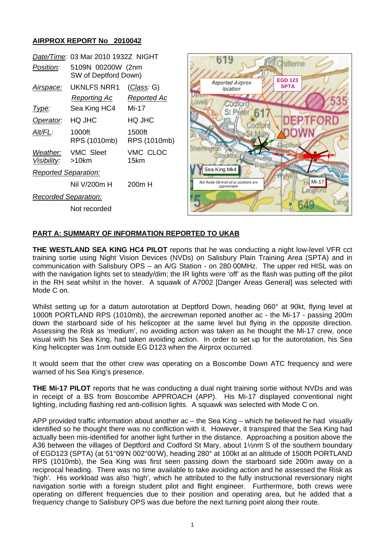## **AIRPROX REPORT No 2010042**

|                               | Date/Time: 03 Mar 2010 1932Z NIGHT        |                           |
|-------------------------------|-------------------------------------------|---------------------------|
| Position:                     | 5109N 00200W (2nm<br>SW of Deptford Down) |                           |
| Airspace:                     | UKNLFS NRR1<br>Reporting Ac               | (Class: G)<br>Reported Ac |
| l ype:                        | Sea King HC4                              | Mi-17                     |
| Operator:                     | HQ JHC                                    | HQ JHC                    |
| AIt/FL:                       | 1000ft<br>RPS (1010mb)                    | 1500ft<br>RPS (1010mb)    |
| Weather:<br>Visibility: >10km | <b>VMC Sleet</b>                          | VMC CLOC<br>15km          |
| <b>Reported Separation:</b>   |                                           |                           |
|                               | Nil V/200m H                              | 200m H                    |
| <b>Recorded Separation:</b>   |                                           |                           |
|                               | Not recorded                              |                           |



## **PART A: SUMMARY OF INFORMATION REPORTED TO UKAB**

**THE WESTLAND SEA KING HC4 PILOT** reports that he was conducting a night low-level VFR cct training sortie using Night Vision Devices (NVDs) on Salisbury Plain Training Area (SPTA) and in communication with Salisbury OPS – an A/G Station - on 280·00MHz. The upper red HISL was on with the navigation lights set to steady/dim; the IR lights were 'off' as the flash was putting off the pilot in the RH seat whilst in the hover. A squawk of A7002 [Danger Areas General] was selected with Mode C on.

Whilst setting up for a datum autorotation at Deptford Down, heading 060° at 90kt, flying level at 1000ft PORTLAND RPS (1010mb), the aircrewman reported another ac - the Mi-17 - passing 200m down the starboard side of his helicopter at the same level but flying in the opposite direction. Assessing the Risk as 'medium', no avoiding action was taken as he thought the Mi-17 crew, once visual with his Sea King, had taken avoiding action. In order to set up for the autorotation, his Sea King helicopter was 1nm outside EG D123 when the Airprox occurred.

It would seem that the other crew was operating on a Boscombe Down ATC frequency and were warned of his Sea King's presence.

**THE Mi-17 PILOT** reports that he was conducting a dual night training sortie without NVDs and was in receipt of a BS from Boscombe APPROACH (APP). His Mi-17 displayed conventional night lighting, including flashing red anti-collision lights. A squawk was selected with Mode C on.

APP provided traffic information about another ac – the Sea King – which he believed he had visually identified so he thought there was no confliction with it. However, it transpired that the Sea King had actually been mis-identified for another light further in the distance. Approaching a position above the A36 between the villages of Deptford and Codford St Mary, about 1½nm S of the southern boundary of EGD123 (SPTA) (at 51°09'N 002°00'W), heading 280° at 100kt at an altitude of 1500ft PORTLAND RPS (1010mb), the Sea King was first seen passing down the starboard side 200m away on a reciprocal heading. There was no time available to take avoiding action and he assessed the Risk as 'high'. His workload was also 'high', which he attributed to the fully instructional reversionary night navigation sortie with a foreign student pilot and flight engineer. Furthermore, both crews were operating on different frequencies due to their position and operating area, but he added that a frequency change to Salisbury OPS was due before the next turning point along their route.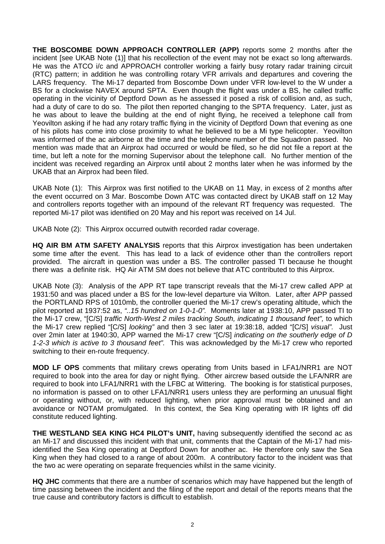**THE BOSCOMBE DOWN APPROACH CONTROLLER (APP)** reports some 2 months after the incident [see UKAB Note (1)] that his recollection of the event may not be exact so long afterwards. He was the ATCO i/c and APPROACH controller working a fairly busy rotary radar training circuit (RTC) pattern; in addition he was controlling rotary VFR arrivals and departures and covering the LARS frequency. The Mi-17 departed from Boscombe Down under VFR low-level to the W under a BS for a clockwise NAVEX around SPTA. Even though the flight was under a BS, he called traffic operating in the vicinity of Deptford Down as he assessed it posed a risk of collision and, as such, had a duty of care to do so. The pilot then reported changing to the SPTA frequency. Later, just as he was about to leave the building at the end of night flying, he received a telephone call from Yeovilton asking if he had any rotary traffic flying in the vicinity of Deptford Down that evening as one of his pilots has come into close proximity to what he believed to be a Mi type helicopter. Yeovilton was informed of the ac airborne at the time and the telephone number of the Squadron passed. No mention was made that an Airprox had occurred or would be filed, so he did not file a report at the time, but left a note for the morning Supervisor about the telephone call. No further mention of the incident was received regarding an Airprox until about 2 months later when he was informed by the UKAB that an Airprox had been filed.

UKAB Note (1): This Airprox was first notified to the UKAB on 11 May, in excess of 2 months after the event occurred on 3 Mar. Boscombe Down ATC was contacted direct by UKAB staff on 12 May and controllers reports together with an impound of the relevant RT frequency was requested. The reported Mi-17 pilot was identified on 20 May and his report was received on 14 Jul.

UKAB Note (2): This Airprox occurred outwith recorded radar coverage.

**HQ AIR BM ATM SAFETY ANALYSIS** reports that this Airprox investigation has been undertaken some time after the event. This has lead to a lack of evidence other than the controllers report provided. The aircraft in question was under a BS. The controller passed TI because he thought there was a definite risk. HQ Air ATM SM does not believe that ATC contributed to this Airprox.

UKAB Note (3): Analysis of the APP RT tape transcript reveals that the Mi-17 crew called APP at 1931:50 and was placed under a BS for the low-level departure via Wilton. Later, after APP passed the PORTLAND RPS of 1010mb, the controller queried the Mi-17 crew's operating altitude, which the pilot reported at 1937:52 as, *"..15 hundred on 1-0-1-0".* Moments later at 1938:10, APP passed TI to the Mi-17 crew, "[C/S] *traffic North-West 2 miles tracking South, indicating 1 thousand feet",* to which the Mi-17 crew replied "[C/S] *looking"* and then 3 sec later at 19:38:18, added "[C/S] *visual".* Just over 2min later at 1940:30, APP warned the Mi-17 crew "[C/S] *indicating on the southerly edge of D 1-2-3 which is active to 3 thousand feet".* This was acknowledged by the Mi-17 crew who reported switching to their en-route frequency.

**MOD LF OPS** comments that military crews operating from Units based in LFA1/NRR1 are NOT required to book into the area for day or night flying. Other aircrew based outside the LFA/NRR are required to book into LFA1/NRR1 with the LFBC at Wittering. The booking is for statistical purposes, no information is passed on to other LFA1/NRR1 users unless they are performing an unusual flight or operating without, or, with reduced lighting, when prior approval must be obtained and an avoidance or NOTAM promulgated. In this context, the Sea King operating with IR lights off did constitute reduced lighting.

**THE WESTLAND SEA KING HC4 PILOT's UNIT,** having subsequently identified the second ac as an Mi-17 and discussed this incident with that unit, comments that the Captain of the Mi-17 had misidentified the Sea King operating at Deptford Down for another ac. He therefore only saw the Sea King when they had closed to a range of about 200m. A contributory factor to the incident was that the two ac were operating on separate frequencies whilst in the same vicinity.

**HQ JHC** comments that there are a number of scenarios which may have happened but the length of time passing between the incident and the filing of the report and detail of the reports means that the true cause and contributory factors is difficult to establish.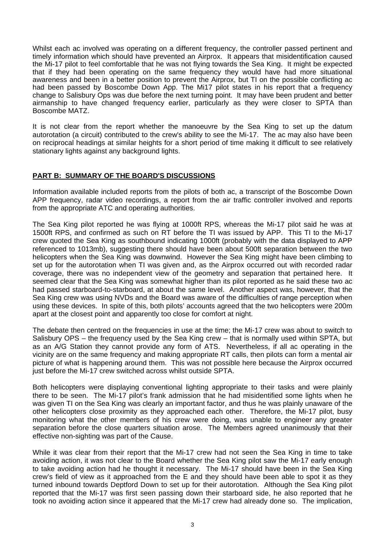Whilst each ac involved was operating on a different frequency, the controller passed pertinent and timely information which should have prevented an Airprox. It appears that misidentification caused the Mi-17 pilot to feel comfortable that he was not flying towards the Sea King. It might be expected that if they had been operating on the same frequency they would have had more situational awareness and been in a better position to prevent the Airprox, but TI on the possible conflicting ac had been passed by Boscombe Down App. The Mi17 pilot states in his report that a frequency change to Salisbury Ops was due before the next turning point. It may have been prudent and better airmanship to have changed frequency earlier, particularly as they were closer to SPTA than Boscombe MATZ.

It is not clear from the report whether the manoeuvre by the Sea King to set up the datum autorotation (a circuit) contributed to the crew's ability to see the Mi-17. The ac may also have been on reciprocal headings at similar heights for a short period of time making it difficult to see relatively stationary lights against any background lights.

## **PART B: SUMMARY OF THE BOARD'S DISCUSSIONS**

Information available included reports from the pilots of both ac, a transcript of the Boscombe Down APP frequency, radar video recordings, a report from the air traffic controller involved and reports from the appropriate ATC and operating authorities.

The Sea King pilot reported he was flying at 1000ft RPS, whereas the Mi-17 pilot said he was at 1500ft RPS, and confirmed as such on RT before the TI was issued by APP. This TI to the Mi-17 crew quoted the Sea King as southbound indicating 1000ft (probably with the data displayed to APP referenced to 1013mb), suggesting there should have been about 500ft separation between the two helicopters when the Sea King was downwind. However the Sea King might have been climbing to set up for the autorotation when TI was given and, as the Airprox occurred out with recorded radar coverage, there was no independent view of the geometry and separation that pertained here. It seemed clear that the Sea King was somewhat higher than its pilot reported as he said these two ac had passed starboard-to-starboard, at about the same level. Another aspect was, however, that the Sea King crew was using NVDs and the Board was aware of the difficulties of range perception when using these devices. In spite of this, both pilots' accounts agreed that the two helicopters were 200m apart at the closest point and apparently too close for comfort at night.

The debate then centred on the frequencies in use at the time; the Mi-17 crew was about to switch to Salisbury OPS – the frequency used by the Sea King crew – that is normally used within SPTA, but as an A/G Station they cannot provide any form of ATS. Nevertheless, if all ac operating in the vicinity are on the same frequency and making appropriate RT calls, then pilots can form a mental air picture of what is happening around them. This was not possible here because the Airprox occurred just before the Mi-17 crew switched across whilst outside SPTA.

Both helicopters were displaying conventional lighting appropriate to their tasks and were plainly there to be seen. The Mi-17 pilot's frank admission that he had misidentified some lights when he was given TI on the Sea King was clearly an important factor, and thus he was plainly unaware of the other helicopters close proximity as they approached each other. Therefore, the Mi-17 pilot, busy monitoring what the other members of his crew were doing, was unable to engineer any greater separation before the close quarters situation arose. The Members agreed unanimously that their effective non-sighting was part of the Cause.

While it was clear from their report that the Mi-17 crew had not seen the Sea King in time to take avoiding action, it was not clear to the Board whether the Sea King pilot saw the Mi-17 early enough to take avoiding action had he thought it necessary. The Mi-17 should have been in the Sea King crew's field of view as it approached from the E and they should have been able to spot it as they turned inbound towards Deptford Down to set up for their autorotation. Although the Sea King pilot reported that the Mi-17 was first seen passing down their starboard side, he also reported that he took no avoiding action since it appeared that the Mi-17 crew had already done so. The implication,